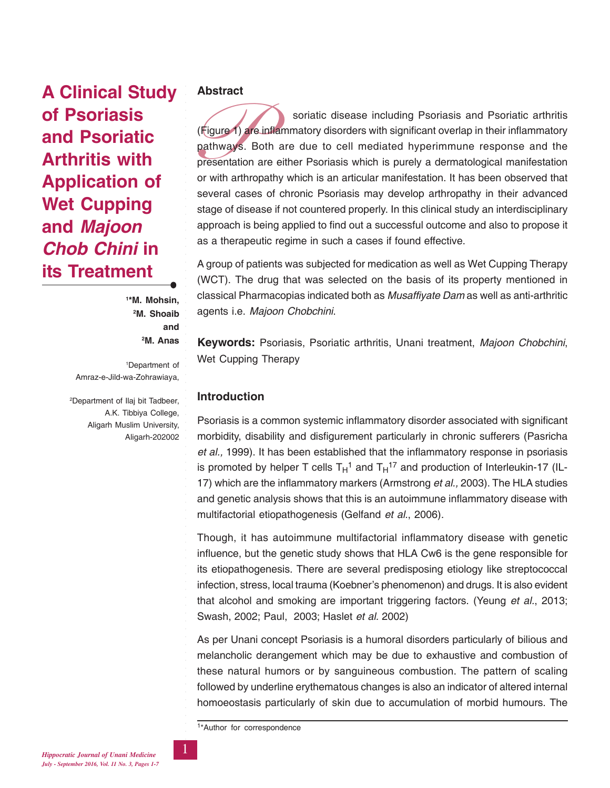**A Clinical Study of Psoriasis and Psoriatic Arthritis with Application of Wet Cupping and** *Majoon Chob Chini* **in its Treatment**

> **1 \*M. Mohsin, 2 M. Shoaib and 2 M. Anas**

○○○○○○○○○○○○○○○○○○○○○○○○○○○○○○○○○○○○○○○○○○○○○○○○○○○○○○○○

1 Department of Amraz-e-Jild-wa-Zohrawiaya,

2 Department of Ilaj bit Tadbeer, A.K. Tibbiya College, Aligarh Muslim University, Aligarh-202002

## **Abstract**

(Figure 1) and<br>pathways.<br>presentation<br>or with arthr soriatic disease including Psoriasis and Psoriatic arthritis (Figure 1) are inflammatory disorders with significant overlap in their inflammatory pathways. Both are due to cell mediated hyperimmune response and the presentation are either Psoriasis which is purely a dermatological manifestation or with arthropathy which is an articular manifestation. It has been observed that several cases of chronic Psoriasis may develop arthropathy in their advanced stage of disease if not countered properly. In this clinical study an interdisciplinary approach is being applied to find out a successful outcome and also to propose it as a therapeutic regime in such a cases if found effective.

A group of patients was subjected for medication as well as Wet Cupping Therapy (WCT). The drug that was selected on the basis of its property mentioned in classical Pharmacopias indicated both as *Musaffiyate Dam* as well as anti-arthritic agents i.e. *Majoon Chobchini*.

**Keywords:** Psoriasis, Psoriatic arthritis, Unani treatment, *Majoon Chobchini*, Wet Cupping Therapy

# **Introduction**

Psoriasis is a common systemic inflammatory disorder associated with significant morbidity, disability and disfigurement particularly in chronic sufferers (Pasricha *et al.,* 1999). It has been established that the inflammatory response in psoriasis is promoted by helper T cells  $T_H$ <sup>1</sup> and  $T_H$ <sup>17</sup> and production of Interleukin-17 (IL-17) which are the inflammatory markers (Armstrong *et al.,* 2003). The HLA studies and genetic analysis shows that this is an autoimmune inflammatory disease with multifactorial etiopathogenesis (Gelfand *et al.*, 2006).

Though, it has autoimmune multifactorial inflammatory disease with genetic influence, but the genetic study shows that HLA Cw6 is the gene responsible for its etiopathogenesis. There are several predisposing etiology like streptococcal infection, stress, local trauma (Koebner's phenomenon) and drugs. It is also evident that alcohol and smoking are important triggering factors. (Yeung *et al.*, 2013; Swash, 2002; Paul, 2003; Haslet *et al.* 2002)

As per Unani concept Psoriasis is a humoral disorders particularly of bilious and melancholic derangement which may be due to exhaustive and combustion of these natural humors or by sanguineous combustion. The pattern of scaling followed by underline erythematous changes is also an indicator of altered internal homoeostasis particularly of skin due to accumulation of morbid humours. The

1\*Author for correspondence

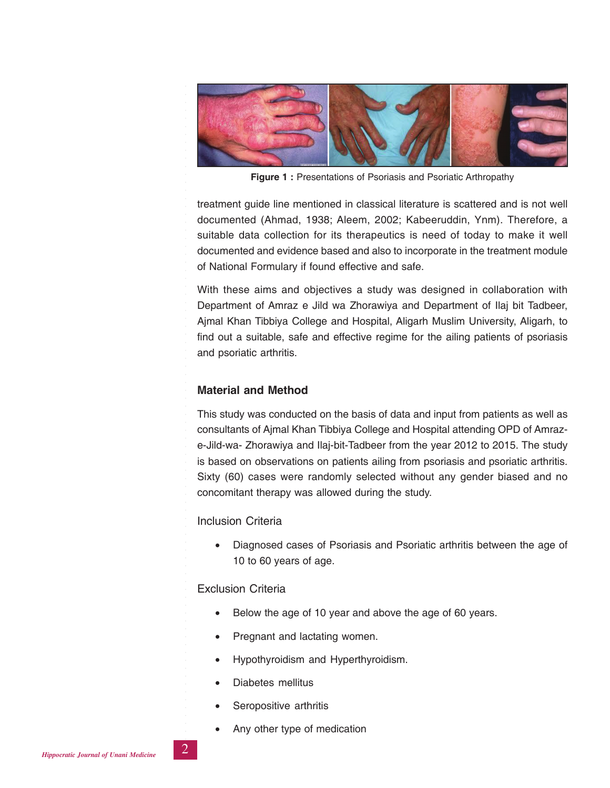

**Figure 1 :** Presentations of Psoriasis and Psoriatic Arthropathy

treatment guide line mentioned in classical literature is scattered and is not well documented (Ahmad, 1938; Aleem, 2002; Kabeeruddin, Ynm). Therefore, a suitable data collection for its therapeutics is need of today to make it well documented and evidence based and also to incorporate in the treatment module of National Formulary if found effective and safe.

With these aims and objectives a study was designed in collaboration with Department of Amraz e Jild wa Zhorawiya and Department of Ilaj bit Tadbeer, Ajmal Khan Tibbiya College and Hospital, Aligarh Muslim University, Aligarh, to find out a suitable, safe and effective regime for the ailing patients of psoriasis and psoriatic arthritis.

# **Material and Method**

○○○○○○○○○○○○○○○○○○○○○○○○○○○○○○○○○○○○○○○○○○○○○○○○○○○○○○○○

This study was conducted on the basis of data and input from patients as well as consultants of Ajmal Khan Tibbiya College and Hospital attending OPD of Amraze-Jild-wa- Zhorawiya and Ilaj-bit-Tadbeer from the year 2012 to 2015. The study is based on observations on patients ailing from psoriasis and psoriatic arthritis. Sixty (60) cases were randomly selected without any gender biased and no concomitant therapy was allowed during the study.

### Inclusion Criteria

• Diagnosed cases of Psoriasis and Psoriatic arthritis between the age of 10 to 60 years of age.

### Exclusion Criteria

- Below the age of 10 year and above the age of 60 years.
- Pregnant and lactating women.
- Hypothyroidism and Hyperthyroidism.
- Diabetes mellitus
- Seropositive arthritis
- Any other type of medication



○○○○○○○○○○○○○○○○○○○○○○○○○○○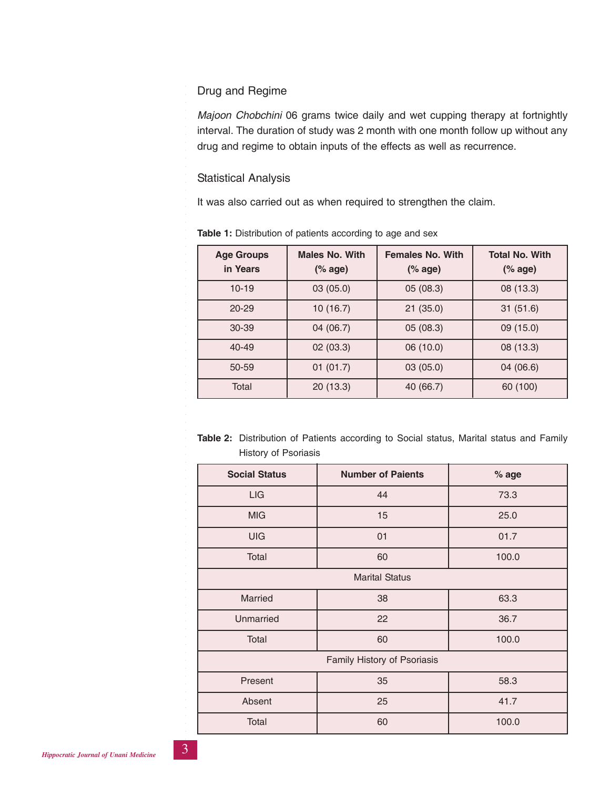# Drug and Regime

*Majoon Chobchini* 06 grams twice daily and wet cupping therapy at fortnightly interval. The duration of study was 2 month with one month follow up without any drug and regime to obtain inputs of the effects as well as recurrence.

# Statistical Analysis

○○○○○○○○○○○○○○○○○○○○○○○○○○○○○○○○○○○○○○○○○○○○○○○○○○○○○○○○

It was also carried out as when required to strengthen the claim.

| <b>Age Groups</b><br>in Years | <b>Males No. With</b><br>$(% \mathcal{L}_{0}^{\infty})$ (% age) | <b>Females No. With</b><br>$(% \mathcal{L}_{0}^{\infty})$ (% age) | <b>Total No. With</b><br>$(% \mathcal{L}_{0})$ (% age) |
|-------------------------------|-----------------------------------------------------------------|-------------------------------------------------------------------|--------------------------------------------------------|
| $10 - 19$                     | 03 (05.0)                                                       | 05 (08.3)                                                         | 08 (13.3)                                              |
| $20 - 29$                     | 10 (16.7)                                                       | 21(35.0)                                                          | 31(51.6)                                               |
| $30 - 39$                     | 04 (06.7)                                                       | 05 (08.3)                                                         | 09 (15.0)                                              |
| $40 - 49$                     | 02(03.3)                                                        | 06 (10.0)                                                         | 08 (13.3)                                              |
| 50-59                         | 01(01.7)                                                        | 03(05.0)                                                          | 04 (06.6)                                              |
| Total                         | 20(13.3)                                                        | 40 (66.7)                                                         | 60 (100)                                               |

**Table 1:** Distribution of patients according to age and sex

| <b>Table 2:</b> Distribution of Patients according to Social status, Marital status and Family |  |  |  |  |  |
|------------------------------------------------------------------------------------------------|--|--|--|--|--|
| History of Psoriasis                                                                           |  |  |  |  |  |

| <b>Social Status</b>        | <b>Number of Paients</b> | % age |  |  |  |  |  |  |
|-----------------------------|--------------------------|-------|--|--|--|--|--|--|
| <b>LIG</b>                  | 44                       | 73.3  |  |  |  |  |  |  |
| <b>MIG</b>                  | 15                       | 25.0  |  |  |  |  |  |  |
| <b>UIG</b>                  | 01                       | 01.7  |  |  |  |  |  |  |
| Total                       | 60                       | 100.0 |  |  |  |  |  |  |
| <b>Marital Status</b>       |                          |       |  |  |  |  |  |  |
| Married                     | 38                       | 63.3  |  |  |  |  |  |  |
| Unmarried                   | 22                       | 36.7  |  |  |  |  |  |  |
| Total                       | 60                       | 100.0 |  |  |  |  |  |  |
| Family History of Psoriasis |                          |       |  |  |  |  |  |  |
| Present                     | 35                       | 58.3  |  |  |  |  |  |  |
| Absent                      | 25                       | 41.7  |  |  |  |  |  |  |
| Total                       | 60                       | 100.0 |  |  |  |  |  |  |

○○○○○○○○○○○○○○○○○○○○○○○○○○○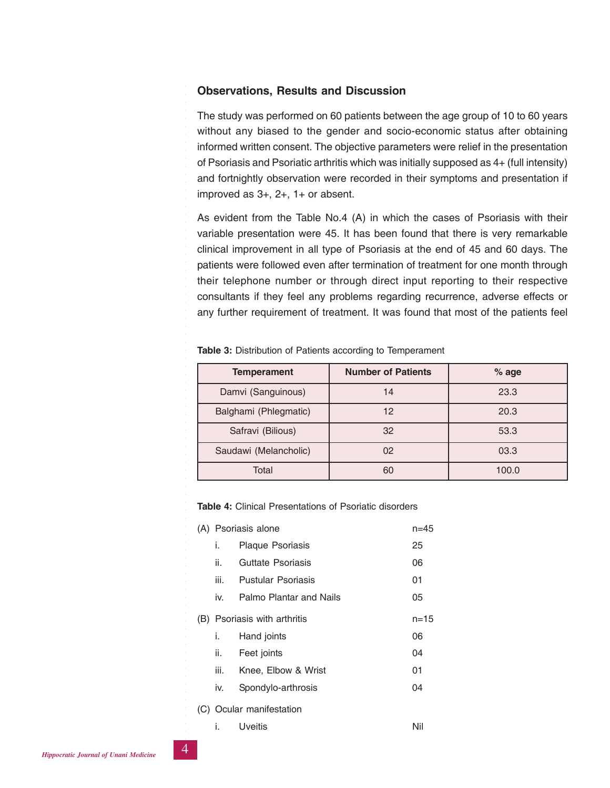### **Observations, Results and Discussion**

The study was performed on 60 patients between the age group of 10 to 60 years without any biased to the gender and socio-economic status after obtaining informed written consent. The objective parameters were relief in the presentation of Psoriasis and Psoriatic arthritis which was initially supposed as 4+ (full intensity) and fortnightly observation were recorded in their symptoms and presentation if improved as 3+, 2+, 1+ or absent.

As evident from the Table No.4 (A) in which the cases of Psoriasis with their variable presentation were 45. It has been found that there is very remarkable clinical improvement in all type of Psoriasis at the end of 45 and 60 days. The patients were followed even after termination of treatment for one month through their telephone number or through direct input reporting to their respective consultants if they feel any problems regarding recurrence, adverse effects or any further requirement of treatment. It was found that most of the patients feel

| <b>Temperament</b>    | <b>Number of Patients</b> | $%$ age |  |  |
|-----------------------|---------------------------|---------|--|--|
| Damvi (Sanguinous)    | 14                        | 23.3    |  |  |
| Balghami (Phlegmatic) | 12                        | 20.3    |  |  |
| Safravi (Bilious)     | 32                        | 53.3    |  |  |
| Saudawi (Melancholic) | 02                        | 03.3    |  |  |
| Total                 | 60                        | 100.0   |  |  |

**Table 3:** Distribution of Patients according to Temperament

**Table 4:** Clinical Presentations of Psoriatic disorders

|  |      | (A) Psoriasis alone          | n=45     |
|--|------|------------------------------|----------|
|  | İ.   | <b>Plaque Psoriasis</b>      | 25       |
|  | ii.  | Guttate Psoriasis            | 06       |
|  | iii. | <b>Pustular Psoriasis</b>    | 01       |
|  | iv.  | Palmo Plantar and Nails      | 05       |
|  |      | (B) Psoriasis with arthritis | $n = 15$ |
|  | i.   | Hand joints                  | 06       |
|  | ii.  | Feet joints                  | 04       |
|  | iii. | Knee, Elbow & Wrist          | 01       |
|  | İV.  | Spondylo-arthrosis           | 04       |
|  |      | (C) Ocular manifestation     |          |
|  | i.   | Uveitis                      | Nil      |

○○○○○○○○○○○○○○○○○○○○○○○○○○○

○○○○○○○○○○○○○○○○○○○○○○○○○○○○○○○○○○○○○○○○○○○○○○○○○○○○○○○○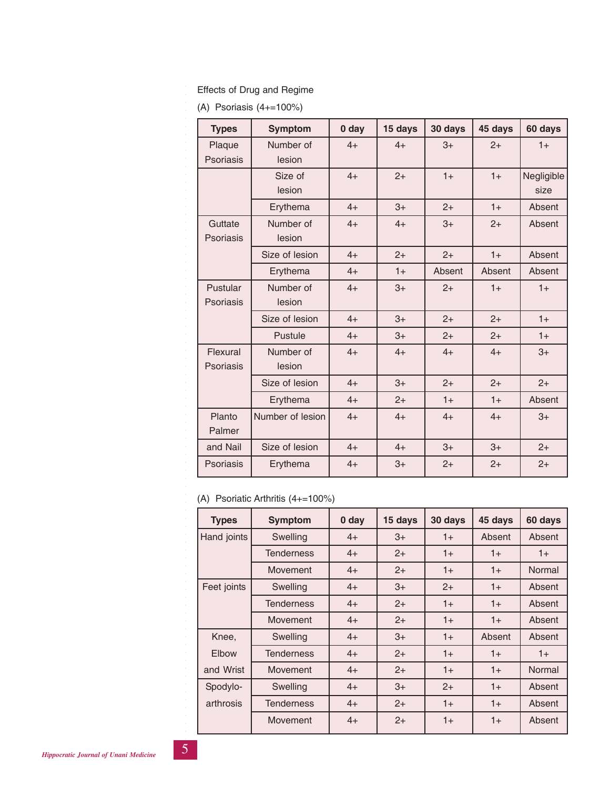#### Effects of Drug and Regime

(A) Psoriasis (4+=100%)

| <b>Types</b>     | <b>Symptom</b>   | 0 <sub>day</sub> | 15 days | 30 days | 45 days | 60 days    |
|------------------|------------------|------------------|---------|---------|---------|------------|
| Plaque           | Number of        | $4+$             | $4+$    | $3+$    | $2+$    | $1+$       |
| <b>Psoriasis</b> | lesion           |                  |         |         |         |            |
|                  | Size of          | $4+$             | $2+$    | $1+$    | $1+$    | Negligible |
|                  | lesion           |                  |         |         |         | size       |
|                  | Erythema         | $4+$             | $3+$    | $2+$    | $1+$    | Absent     |
| Guttate          | Number of        | $4+$             | $4+$    | $3+$    | $2+$    | Absent     |
| Psoriasis        | lesion           |                  |         |         |         |            |
|                  | Size of lesion   | $4+$             | $2+$    | $2+$    | $1+$    | Absent     |
|                  | Erythema         | $4+$             | $1+$    | Absent  | Absent  | Absent     |
| Pustular         | Number of        | $4+$             | $3+$    | $2+$    | $1+$    | $1+$       |
| Psoriasis        | lesion           |                  |         |         |         |            |
|                  | Size of lesion   | $4+$             | $3+$    | $2+$    | $2+$    | $1+$       |
|                  | Pustule          | $4+$             | $3+$    | $2+$    | $2+$    | $1+$       |
| Flexural         | Number of        | $4+$             | $4+$    | $4+$    | $4+$    | $3+$       |
| <b>Psoriasis</b> | lesion           |                  |         |         |         |            |
|                  | Size of lesion   | $4+$             | $3+$    | $2+$    | $2+$    | $2+$       |
|                  | Erythema         | $4+$             | $2+$    | $1+$    | $1+$    | Absent     |
| Planto           | Number of lesion | $4+$             | $4+$    | $4+$    | $4+$    | $3+$       |
| Palmer           |                  |                  |         |         |         |            |
| and Nail         | Size of lesion   | $4+$             | $4+$    | $3+$    | $3+$    | $2+$       |
| <b>Psoriasis</b> | Erythema         | $4+$             | $3+$    | $2+$    | $2+$    | $2+$       |

# (A) Psoriatic Arthritis (4+=100%)

| <b>Types</b> | <b>Symptom</b>    | 0 day | 15 days | 30 days | 45 days | 60 days |
|--------------|-------------------|-------|---------|---------|---------|---------|
| Hand joints  | Swelling          | $4+$  | $3+$    | $1+$    | Absent  | Absent  |
|              | <b>Tenderness</b> | $4+$  | $2+$    | $1+$    | $1+$    | $1+$    |
|              | Movement          | $4+$  | $2+$    | $1+$    | $1+$    | Normal  |
| Feet joints  | Swelling          | $4+$  | $3+$    | $2+$    | $1+$    | Absent  |
|              | <b>Tenderness</b> | $4+$  | $2+$    | $1+$    | $1+$    | Absent  |
|              | Movement          | $4+$  | $2+$    | $1+$    | $1+$    | Absent  |
| Knee,        | Swelling          | $4+$  | $3+$    | $1+$    | Absent  | Absent  |
| Elbow        | <b>Tenderness</b> | $4+$  | $2+$    | $1+$    | $1+$    | $1+$    |
| and Wrist    | Movement          | $4+$  | $2+$    | $1+$    | $1+$    | Normal  |
| Spodylo-     | Swelling          | $4+$  | $3+$    | $2+$    | $1+$    | Absent  |
| arthrosis    | <b>Tenderness</b> | $4+$  | $2+$    | $1+$    | $1+$    | Absent  |
|              | Movement          | $4+$  | $2+$    | $1+$    | $1+$    | Absent  |

○○○○○○○○○○○○○○○○○○○○○○○○○○○

○○○○○○○○○○○○○○○○○○○○○○○○○○○○○○○○○○○○○○○○○○○○○○○○○○○○○○○○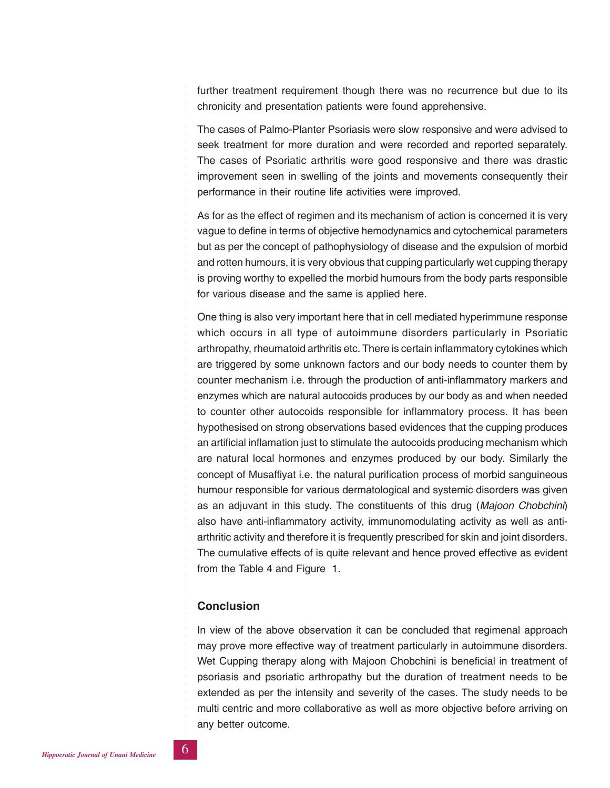further treatment requirement though there was no recurrence but due to its chronicity and presentation patients were found apprehensive.

The cases of Palmo-Planter Psoriasis were slow responsive and were advised to seek treatment for more duration and were recorded and reported separately. The cases of Psoriatic arthritis were good responsive and there was drastic improvement seen in swelling of the joints and movements consequently their performance in their routine life activities were improved.

As for as the effect of regimen and its mechanism of action is concerned it is very vague to define in terms of objective hemodynamics and cytochemical parameters but as per the concept of pathophysiology of disease and the expulsion of morbid and rotten humours, it is very obvious that cupping particularly wet cupping therapy is proving worthy to expelled the morbid humours from the body parts responsible for various disease and the same is applied here.

One thing is also very important here that in cell mediated hyperimmune response which occurs in all type of autoimmune disorders particularly in Psoriatic arthropathy, rheumatoid arthritis etc. There is certain inflammatory cytokines which are triggered by some unknown factors and our body needs to counter them by counter mechanism i.e. through the production of anti-inflammatory markers and enzymes which are natural autocoids produces by our body as and when needed to counter other autocoids responsible for inflammatory process. It has been hypothesised on strong observations based evidences that the cupping produces an artificial inflamation just to stimulate the autocoids producing mechanism which are natural local hormones and enzymes produced by our body. Similarly the concept of Musaffiyat i.e. the natural purification process of morbid sanguineous humour responsible for various dermatological and systemic disorders was given as an adjuvant in this study. The constituents of this drug (*Majoon Chobchini*) also have anti-inflammatory activity, immunomodulating activity as well as antiarthritic activity and therefore it is frequently prescribed for skin and joint disorders. The cumulative effects of is quite relevant and hence proved effective as evident from the Table 4 and Figure 1.

### **Conclusion**

In view of the above observation it can be concluded that regimenal approach may prove more effective way of treatment particularly in autoimmune disorders. Wet Cupping therapy along with Majoon Chobchini is beneficial in treatment of psoriasis and psoriatic arthropathy but the duration of treatment needs to be extended as per the intensity and severity of the cases. The study needs to be multi centric and more collaborative as well as more objective before arriving on any better outcome.

○○○○○○○○○○○○○○○○○○○○○○○○○○○

○○○○○○○○○○○○○○○○○○○○○○○○○○○○○○○○○○○○○○○○○○○○○○○○○○○○○○○○